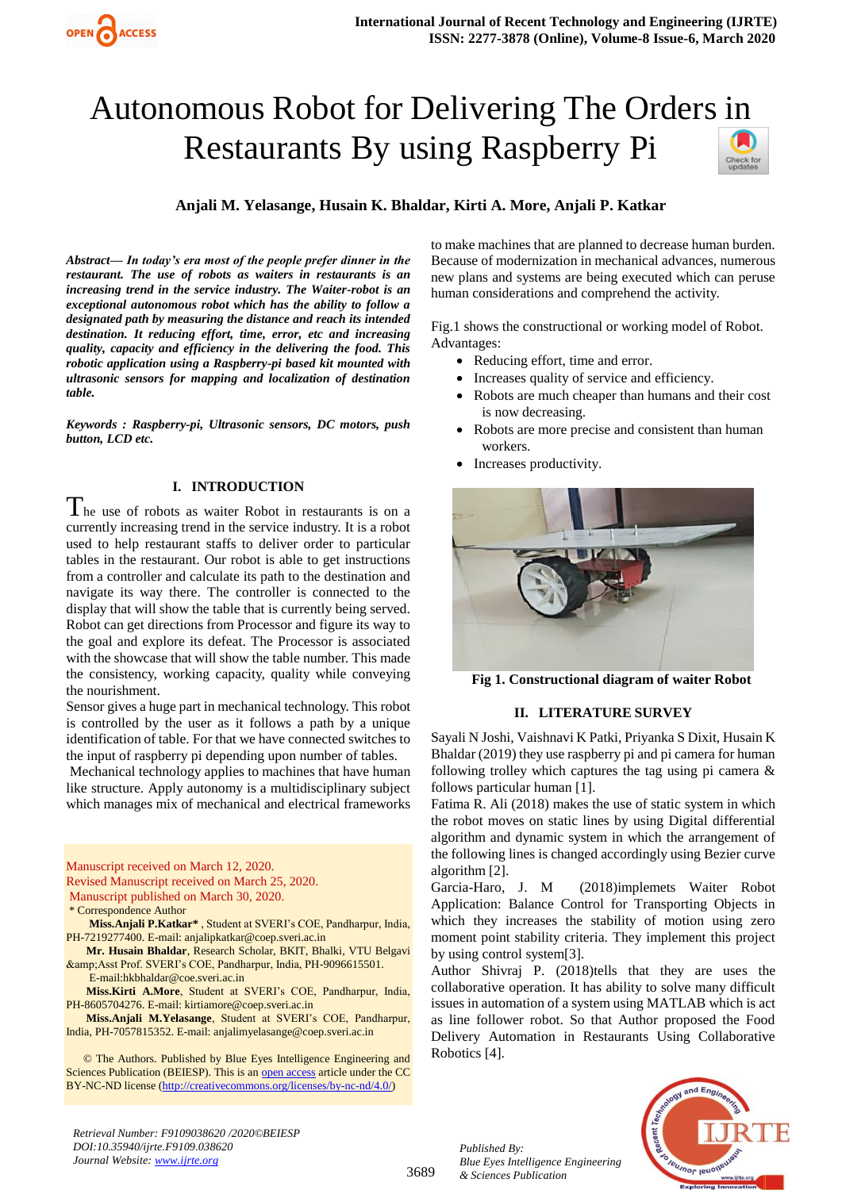# Autonomous Robot for Delivering The Orders in Restaurants By using Raspberry Pi



## **Anjali M. Yelasange, Husain K. Bhaldar, Kirti A. More, Anjali P. Katkar**

*Abstract— In today's era most of the people prefer dinner in the restaurant. The use of robots as waiters in restaurants is an increasing trend in the service industry. The Waiter-robot is an exceptional autonomous robot which has the ability to follow a designated path by measuring the distance and reach its intended destination. It reducing effort, time, error, etc and increasing quality, capacity and efficiency in the delivering the food. This robotic application using a Raspberry-pi based kit mounted with ultrasonic sensors for mapping and localization of destination table.* 

*Keywords : Raspberry-pi, Ultrasonic sensors, DC motors, push button, LCD etc.*

### **I. INTRODUCTION**

 $\prod$  he use of robots as waiter Robot in restaurants is on a currently increasing trend in the service industry. It is a robot used to help restaurant staffs to deliver order to particular tables in the restaurant. Our robot is able to get instructions from a controller and calculate its path to the destination and navigate its way there. The controller is connected to the display that will show the table that is currently being served. Robot can get directions from Processor and figure its way to the goal and explore its defeat. The Processor is associated with the showcase that will show the table number. This made the consistency, working capacity, quality while conveying the nourishment.

Sensor gives a huge part in mechanical technology. This robot is controlled by the user as it follows a path by a unique identification of table. For that we have connected switches to the input of raspberry pi depending upon number of tables.

Mechanical technology applies to machines that have human like structure. Apply autonomy is a multidisciplinary subject which manages mix of mechanical and electrical frameworks

Manuscript received on March 12, 2020. Revised Manuscript received on March 25, 2020. Manuscript published on March 30, 2020.

\* Correspondence Author

**Miss.Anjali P.Katkar\*** , Student at SVERI's COE, Pandharpur, India, PH-7219277400. E-mail[: anjalipkatkar@coep.sveri.ac.in](mailto:anjalipkatkar@coep.sveri.ac.in)

**Mr. Husain Bhaldar**, Research Scholar, BKIT, Bhalki, VTU Belgavi & Asst Prof. SVERI's COE, Pandharpur, India, PH-9096615501. E-mail[:hkbhaldar@coe.sveri.ac.in](mailto:hkbhaldar@coe.sveri.ac.in)

**Miss.Kirti A.More**, Student at SVERI's COE, Pandharpur, India, PH-8605704276. E-mail[: kirtiamore@coep.sveri.ac.in](mailto:kirtiamore@coep.sveri.ac.in)

**Miss.Anjali M.Yelasange**, Student at SVERI's COE, Pandharpur, India, PH-7057815352. E-mail[: anjalimyelasange@coep.sveri.ac.in](mailto:anjalimyelasange@coep.sveri.ac.in)

 © The Authors. Published by Blue Eyes Intelligence Engineering and Sciences Publication (BEIESP). This is an [open access](https://www.openaccess.nl/en/open-publications) article under the CC BY-NC-ND license [\(http://creativecommons.org/licenses/by-nc-nd/4.0/\)](http://creativecommons.org/licenses/by-nc-nd/4.0/)

to make machines that are planned to decrease human burden. Because of modernization in mechanical advances, numerous new plans and systems are being executed which can peruse human considerations and comprehend the activity.

Fig.1 shows the constructional or working model of Robot. Advantages:

- Reducing effort, time and error.
- Increases quality of service and efficiency.
- Robots are much cheaper than humans and their cost is now decreasing.
- Robots are more precise and consistent than human workers.
- Increases productivity.



**Fig 1. Constructional diagram of waiter Robot**

## **II. LITERATURE SURVEY**

Sayali N Joshi, Vaishnavi K Patki, Priyanka S Dixit, Husain K Bhaldar (2019) they use raspberry pi and pi camera for human following trolley which captures the tag using pi camera & follows particular human [1].

Fatima R. Ali (2018) makes the use of static system in which the robot moves on static lines by using Digital differential algorithm and dynamic system in which the arrangement of the following lines is changed accordingly using Bezier curve algorithm [2].

Garcia-Haro, J. M (2018)implemets Waiter Robot Application: Balance Control for Transporting Objects in which they increases the stability of motion using zero moment point stability criteria. They implement this project by using control system[3].

Author Shivraj P. (2018)tells that they are uses the collaborative operation. It has ability to solve many difficult issues in automation of a system using MATLAB which is act as line follower robot. So that Author proposed the Food Delivery Automation in Restaurants Using Collaborative Robotics [4].



*Retrieval Number: F9109038620 /2020©BEIESP DOI:10.35940/ijrte.F9109.038620 Journal Website: www.ijrte.org*

3689

*Published By: Blue Eyes Intelligence Engineering & Sciences Publication*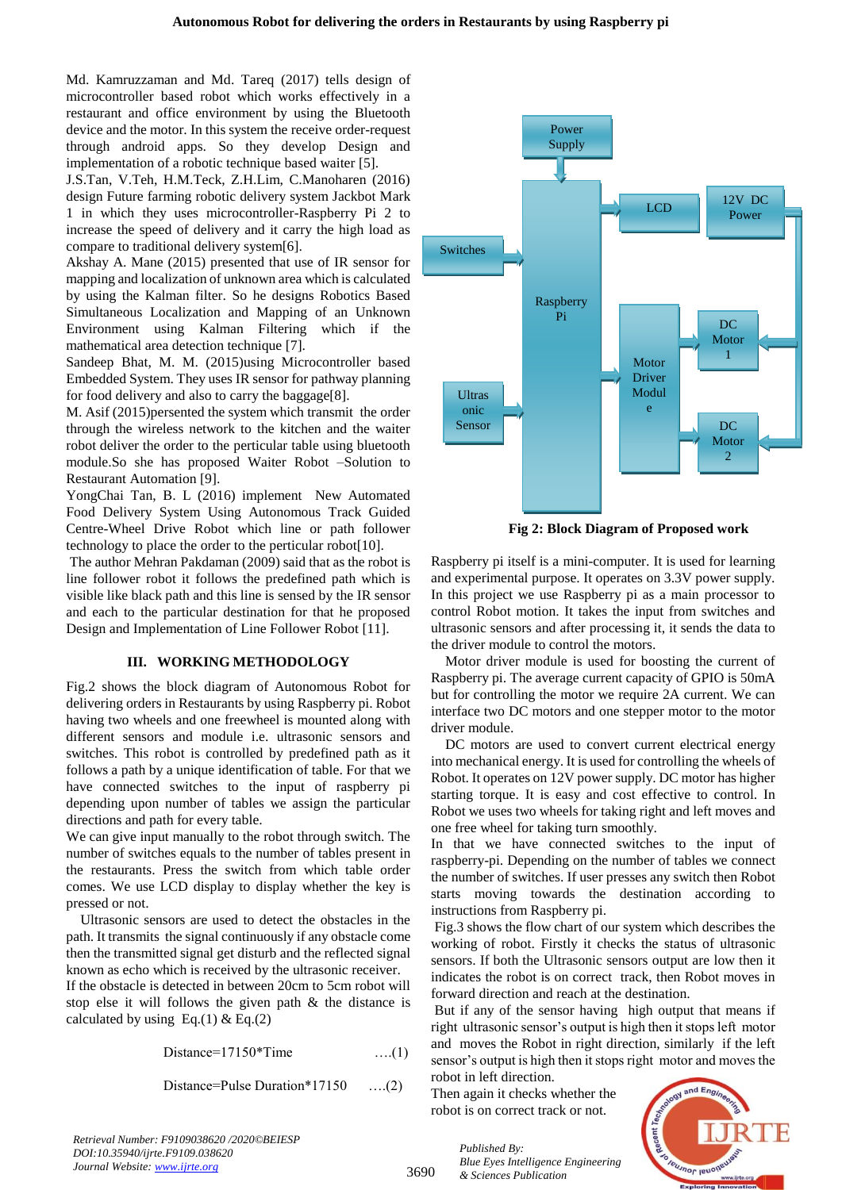Md. Kamruzzaman and [Md. Tareq](https://ieeexplore.ieee.org/author/38072234200) (2017) tells design of microcontroller based robot which works effectively in a restaurant and office environment by using the Bluetooth device and the motor. In this system the receive order-request through android apps. So they develop Design and implementation of a robotic technique based waiter [5].

J.S.Tan, V.Teh, H.M.Teck, Z.H.Lim, C.Manoharen (2016) design Future farming robotic delivery system Jackbot Mark 1 in which they uses microcontroller-Raspberry Pi 2 to increase the speed of delivery and it carry the high load as compare to traditional delivery system[6].

Akshay A. Mane (2015) presented that use of IR sensor for mapping and localization of unknown area which is calculated by using the Kalman filter. So he designs Robotics Based Simultaneous Localization and Mapping of an Unknown Environment using Kalman Filtering which if the mathematical area detection technique [7].

Sandeep Bhat, M. M. (2015)using Microcontroller based Embedded System. They uses IR sensor for pathway planning for food delivery and also to carry the baggage[8].

M. Asif (2015)persented the system which transmit the order through the wireless network to the kitchen and the waiter robot deliver the order to the perticular table using bluetooth module.So she has proposed Waiter Robot –Solution to Restaurant Automation [9].

YongChai Tan, B. L (2016) implement New Automated Food Delivery System Using Autonomous Track Guided Centre-Wheel Drive Robot which line or path follower technology to place the order to the perticular robot[10].

The author Mehran Pakdaman (2009) said that as the robot is line follower robot it follows the predefined path which is visible like black path and this line is sensed by the IR sensor and each to the particular destination for that he proposed Design and Implementation of Line Follower Robot [11].

### **III. WORKING METHODOLOGY**

Fig.2 shows the block diagram of Autonomous Robot for delivering orders in Restaurants by using Raspberry pi. Robot having two wheels and one freewheel is mounted along with different sensors and module i.e. ultrasonic sensors and switches. This robot is controlled by predefined path as it follows a path by a unique identification of table. For that we have connected switches to the input of raspberry pi depending upon number of tables we assign the particular directions and path for every table.

We can give input manually to the robot through switch. The number of switches equals to the number of tables present in the restaurants. Press the switch from which table order comes. We use LCD display to display whether the key is pressed or not.

Ultrasonic sensors are used to detect the obstacles in the path. It transmits the signal continuously if any obstacle come then the transmitted signal get disturb and the reflected signal known as echo which is received by the ultrasonic receiver.

If the obstacle is detected in between 20cm to 5cm robot will stop else it will follows the given path & the distance is calculated by using Eq.(1) & Eq.(2)

Distance=17150\*Time ….(1)

Distance=Pulse Duration\*17150 ….(2)

Raspberry Pi Power Supply Switches Ultras onic Sensor LCD Motor Driver Modul e  $DC$ Motor 1  $DC$ Motor 2 12V DC Power

**Fig 2: Block Diagram of Proposed work**

Raspberry pi itself is a mini-computer. It is used for learning and experimental purpose. It operates on 3.3V power supply. In this project we use Raspberry pi as a main processor to control Robot motion. It takes the input from switches and ultrasonic sensors and after processing it, it sends the data to the driver module to control the motors.

Motor driver module is used for boosting the current of Raspberry pi. The average current capacity of GPIO is 50mA but for controlling the motor we require 2A current. We can interface two DC motors and one stepper motor to the motor driver module.

DC motors are used to convert current electrical energy into mechanical energy. It is used for controlling the wheels of Robot. It operates on 12V power supply. DC motor has higher starting torque. It is easy and cost effective to control. In Robot we uses two wheels for taking right and left moves and one free wheel for taking turn smoothly.

In that we have connected switches to the input of raspberry-pi. Depending on the number of tables we connect the number of switches. If user presses any switch then Robot starts moving towards the destination according to instructions from Raspberry pi.

Fig.3 shows the flow chart of our system which describes the working of robot. Firstly it checks the status of ultrasonic sensors. If both the Ultrasonic sensors output are low then it indicates the robot is on correct track, then Robot moves in forward direction and reach at the destination.

But if any of the sensor having high output that means if right ultrasonic sensor's output is high then it stops left motor and moves the Robot in right direction, similarly if the left sensor's output is high then it stops right motor and moves the

robot in left direction. Then again it checks whether the robot is on correct track or not.

*Blue Eyes Intelligence Engineering* 

*Published By:*

*& Sciences Publication* 



*Retrieval Number: F9109038620 /2020©BEIESP DOI:10.35940/ijrte.F9109.038620 Journal Website: www.ijrte.org*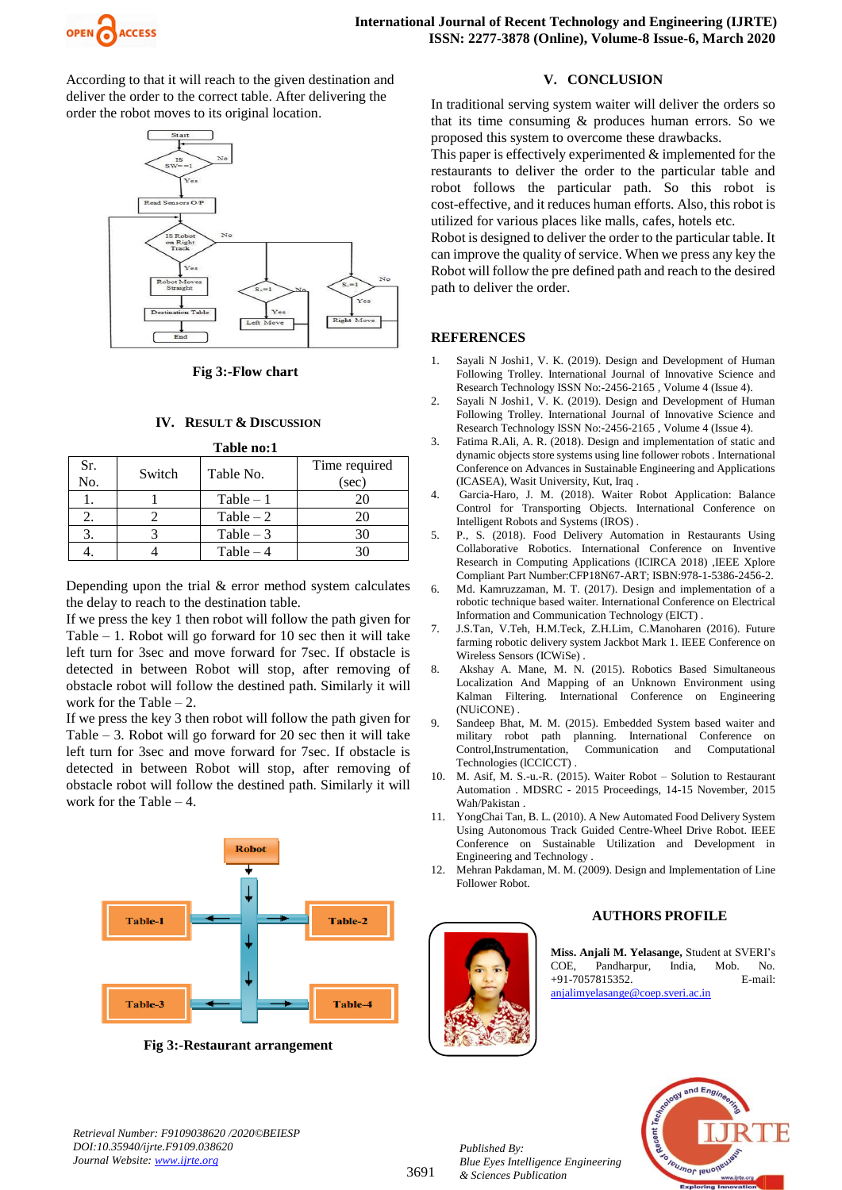

According to that it will reach to the given destination and deliver the order to the correct table. After delivering the order the robot moves to its original location.



**Fig 3:-Flow chart**

## **IV. RESULT & DISCUSSION Table no:1**

| тами пол   |        |             |                        |
|------------|--------|-------------|------------------------|
| Sr.<br>No. | Switch | Table No.   | Time required<br>(sec) |
|            |        | $Table - 1$ | 20                     |
|            |        | Table $-2$  | 20                     |
|            |        | Table $-3$  | 30                     |
|            |        | Table $-4$  |                        |

Depending upon the trial  $&$  error method system calculates the delay to reach to the destination table.

If we press the key 1 then robot will follow the path given for Table – 1. Robot will go forward for 10 sec then it will take left turn for 3sec and move forward for 7sec. If obstacle is detected in between Robot will stop, after removing of obstacle robot will follow the destined path. Similarly it will work for the Table – 2.

If we press the key 3 then robot will follow the path given for Table  $-3$ . Robot will go forward for 20 sec then it will take left turn for 3sec and move forward for 7sec. If obstacle is detected in between Robot will stop, after removing of obstacle robot will follow the destined path. Similarly it will work for the Table  $-4$ .



**Fig 3:-Restaurant arrangement**

#### **V. CONCLUSION**

In traditional serving system waiter will deliver the orders so that its time consuming & produces human errors. So we proposed this system to overcome these drawbacks.

This paper is effectively experimented & implemented for the restaurants to deliver the order to the particular table and robot follows the particular path. So this robot is cost-effective, and it reduces human efforts. Also, this robot is utilized for various places like malls, cafes, hotels etc.

Robot is designed to deliver the order to the particular table. It can improve the quality of service. When we press any key the Robot will follow the pre defined path and reach to the desired path to deliver the order.

### **REFERENCES**

- 1. Sayali N Joshi1, V. K. (2019). Design and Development of Human Following Trolley. International Journal of Innovative Science and Research Technology ISSN No:-2456-2165 , Volume 4 (Issue 4).
- 2. Sayali N Joshi1, V. K. (2019). Design and Development of Human Following Trolley. International Journal of Innovative Science and Research Technology ISSN No:-2456-2165 , Volume 4 (Issue 4).
- 3. Fatima R.Ali, A. R. (2018). Design and implementation of static and dynamic objects store systems using line follower robots . International Conference on Advances in Sustainable Engineering and Applications (ICASEA), Wasit University, Kut, Iraq .
- 4. Garcia-Haro, J. M. (2018). Waiter Robot Application: Balance Control for Transporting Objects. International Conference on Intelligent Robots and Systems (IROS) .
- 5. P., S. (2018). Food Delivery Automation in Restaurants Using Collaborative Robotics. International Conference on Inventive Research in Computing Applications (ICIRCA 2018) ,IEEE Xplore Compliant Part Number:CFP18N67-ART; ISBN:978-1-5386-2456-2.
- 6. Md. Kamruzzaman, M. T. (2017). Design and implementation of a robotic technique based waiter. International Conference on Electrical Information and Communication Technology (EICT) .
- 7. J.S.Tan, V.Teh, H.M.Teck, Z.H.Lim, C.Manoharen (2016). Future farming robotic delivery system Jackbot Mark 1. IEEE Conference on Wireless Sensors (ICWiSe) .
- 8. Akshay A. Mane, M. N. (2015). Robotics Based Simultaneous Localization And Mapping of an Unknown Environment using Kalman Filtering. International Conference on Engineering (NUiCONE) .
- 9. Sandeep Bhat, M. M. (2015). Embedded System based waiter and military robot path planning. International Conference on Control,Instrumentation, Communication and Computational Technologies (lCCICCT) .
- 10. M. Asif, M. S.-u.-R. (2015). Waiter Robot Solution to Restaurant Automation . MDSRC - 2015 Proceedings, 14-15 November, 2015 Wah/Pakistan .
- 11. YongChai Tan, B. L. (2010). A New Automated Food Delivery System Using Autonomous Track Guided Centre-Wheel Drive Robot. IEEE Conference on Sustainable Utilization and Development in Engineering and Technology .
- 12. Mehran Pakdaman, M. M. (2009). Design and Implementation of Line Follower Robot.



*Published By:*

*& Sciences Publication* 

*Blue Eyes Intelligence Engineering* 

## **AUTHORS PROFILE**

**Miss. Anjali M. Yelasange,** Student at SVERI's COE, Pandharpur, India, Mob. No. +91-7057815352. E-mail: [anjalimyelasange@coep.sveri.ac.in](mailto:anjalimyelasange@coep.sveri.ac.in)



*Retrieval Number: F9109038620 /2020©BEIESP DOI:10.35940/ijrte.F9109.038620 Journal Website: www.ijrte.org*